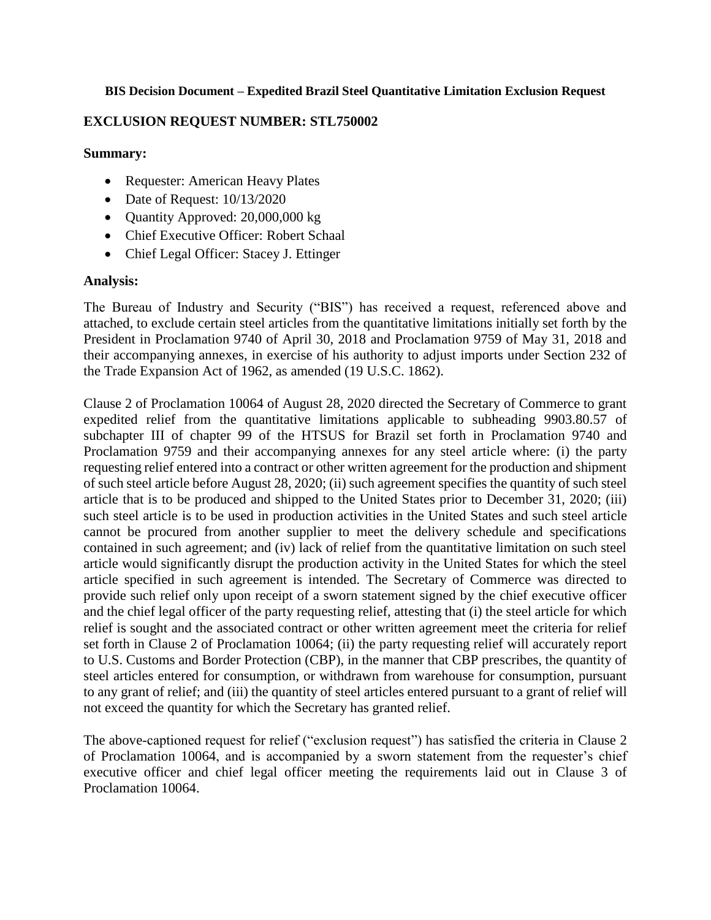#### **BIS Decision Document – Expedited Brazil Steel Quantitative Limitation Exclusion Request**

# **EXCLUSION REQUEST NUMBER: STL750002**

## **Summary:**

- Requester: American Heavy Plates
- Date of Request:  $10/13/2020$
- Quantity Approved: 20,000,000 kg
- Chief Executive Officer: Robert Schaal
- Chief Legal Officer: Stacey J. Ettinger

#### **Analysis:**

The Bureau of Industry and Security ("BIS") has received a request, referenced above and attached, to exclude certain steel articles from the quantitative limitations initially set forth by the President in Proclamation 9740 of April 30, 2018 and Proclamation 9759 of May 31, 2018 and their accompanying annexes, in exercise of his authority to adjust imports under Section 232 of the Trade Expansion Act of 1962, as amended (19 U.S.C. 1862).

Clause 2 of Proclamation 10064 of August 28, 2020 directed the Secretary of Commerce to grant expedited relief from the quantitative limitations applicable to subheading 9903.80.57 of subchapter III of chapter 99 of the HTSUS for Brazil set forth in Proclamation 9740 and Proclamation 9759 and their accompanying annexes for any steel article where: (i) the party requesting relief entered into a contract or other written agreement for the production and shipment of such steel article before August 28, 2020; (ii) such agreement specifies the quantity of such steel article that is to be produced and shipped to the United States prior to December 31, 2020; (iii) such steel article is to be used in production activities in the United States and such steel article cannot be procured from another supplier to meet the delivery schedule and specifications contained in such agreement; and (iv) lack of relief from the quantitative limitation on such steel article would significantly disrupt the production activity in the United States for which the steel article specified in such agreement is intended. The Secretary of Commerce was directed to provide such relief only upon receipt of a sworn statement signed by the chief executive officer and the chief legal officer of the party requesting relief, attesting that (i) the steel article for which relief is sought and the associated contract or other written agreement meet the criteria for relief set forth in Clause 2 of Proclamation 10064; (ii) the party requesting relief will accurately report to U.S. Customs and Border Protection (CBP), in the manner that CBP prescribes, the quantity of steel articles entered for consumption, or withdrawn from warehouse for consumption, pursuant to any grant of relief; and (iii) the quantity of steel articles entered pursuant to a grant of relief will not exceed the quantity for which the Secretary has granted relief.

The above-captioned request for relief ("exclusion request") has satisfied the criteria in Clause 2 of Proclamation 10064, and is accompanied by a sworn statement from the requester's chief executive officer and chief legal officer meeting the requirements laid out in Clause 3 of Proclamation 10064.